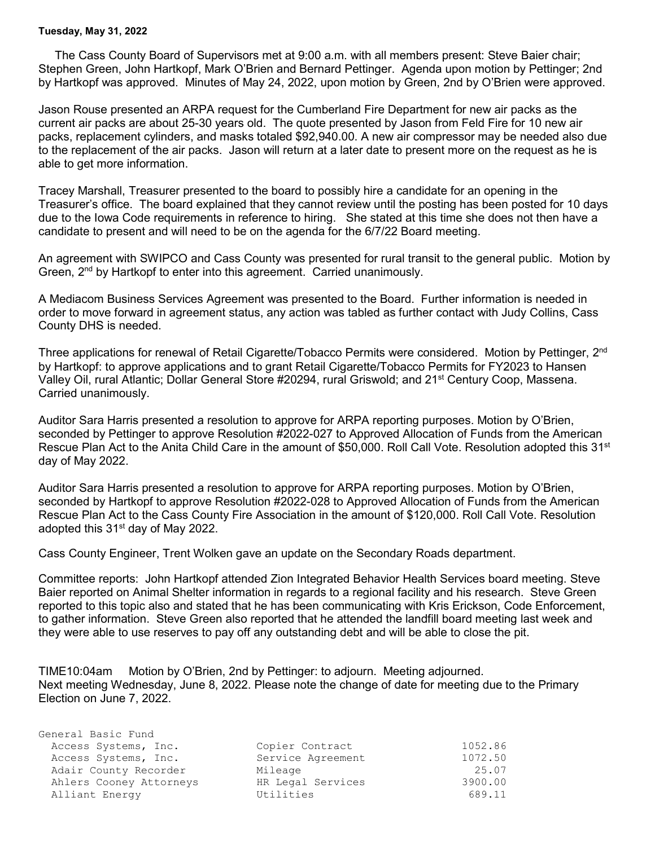## **Tuesday, May 31, 2022**

General Basic Fund

 The Cass County Board of Supervisors met at 9:00 a.m. with all members present: Steve Baier chair; Stephen Green, John Hartkopf, Mark O'Brien and Bernard Pettinger. Agenda upon motion by Pettinger; 2nd by Hartkopf was approved. Minutes of May 24, 2022, upon motion by Green, 2nd by O'Brien were approved.

Jason Rouse presented an ARPA request for the Cumberland Fire Department for new air packs as the current air packs are about 25-30 years old. The quote presented by Jason from Feld Fire for 10 new air packs, replacement cylinders, and masks totaled \$92,940.00. A new air compressor may be needed also due to the replacement of the air packs. Jason will return at a later date to present more on the request as he is able to get more information.

Tracey Marshall, Treasurer presented to the board to possibly hire a candidate for an opening in the Treasurer's office. The board explained that they cannot review until the posting has been posted for 10 days due to the Iowa Code requirements in reference to hiring. She stated at this time she does not then have a candidate to present and will need to be on the agenda for the 6/7/22 Board meeting.

An agreement with SWIPCO and Cass County was presented for rural transit to the general public. Motion by Green,  $2^{nd}$  by Hartkopf to enter into this agreement. Carried unanimously.

A Mediacom Business Services Agreement was presented to the Board. Further information is needed in order to move forward in agreement status, any action was tabled as further contact with Judy Collins, Cass County DHS is needed.

Three applications for renewal of Retail Cigarette/Tobacco Permits were considered. Motion by Pettinger, 2<sup>nd</sup> by Hartkopf: to approve applications and to grant Retail Cigarette/Tobacco Permits for FY2023 to Hansen Valley Oil, rural Atlantic; Dollar General Store #20294, rural Griswold; and 21<sup>st</sup> Century Coop, Massena. Carried unanimously.

Auditor Sara Harris presented a resolution to approve for ARPA reporting purposes. Motion by O'Brien, seconded by Pettinger to approve Resolution #2022-027 to Approved Allocation of Funds from the American Rescue Plan Act to the Anita Child Care in the amount of \$50,000. Roll Call Vote. Resolution adopted this 31<sup>st</sup> day of May 2022.

Auditor Sara Harris presented a resolution to approve for ARPA reporting purposes. Motion by O'Brien, seconded by Hartkopf to approve Resolution #2022-028 to Approved Allocation of Funds from the American Rescue Plan Act to the Cass County Fire Association in the amount of \$120,000. Roll Call Vote. Resolution adopted this 31<sup>st</sup> day of May 2022.

Cass County Engineer, Trent Wolken gave an update on the Secondary Roads department.

Committee reports: John Hartkopf attended Zion Integrated Behavior Health Services board meeting. Steve Baier reported on Animal Shelter information in regards to a regional facility and his research. Steve Green reported to this topic also and stated that he has been communicating with Kris Erickson, Code Enforcement, to gather information. Steve Green also reported that he attended the landfill board meeting last week and they were able to use reserves to pay off any outstanding debt and will be able to close the pit.

TIME10:04am Motion by O'Brien, 2nd by Pettinger: to adjourn. Meeting adjourned. Next meeting Wednesday, June 8, 2022. Please note the change of date for meeting due to the Primary Election on June 7, 2022.

| OCHCLUI DUUIC LUNU      |                   |         |
|-------------------------|-------------------|---------|
| Access Systems, Inc.    | Copier Contract   | 1052.86 |
| Access Systems, Inc.    | Service Agreement | 1072.50 |
| Adair County Recorder   | Mileage           | 25.07   |
| Ahlers Cooney Attorneys | HR Legal Services | 3900.00 |
| Alliant Energy          | Utilities         | 689.11  |
|                         |                   |         |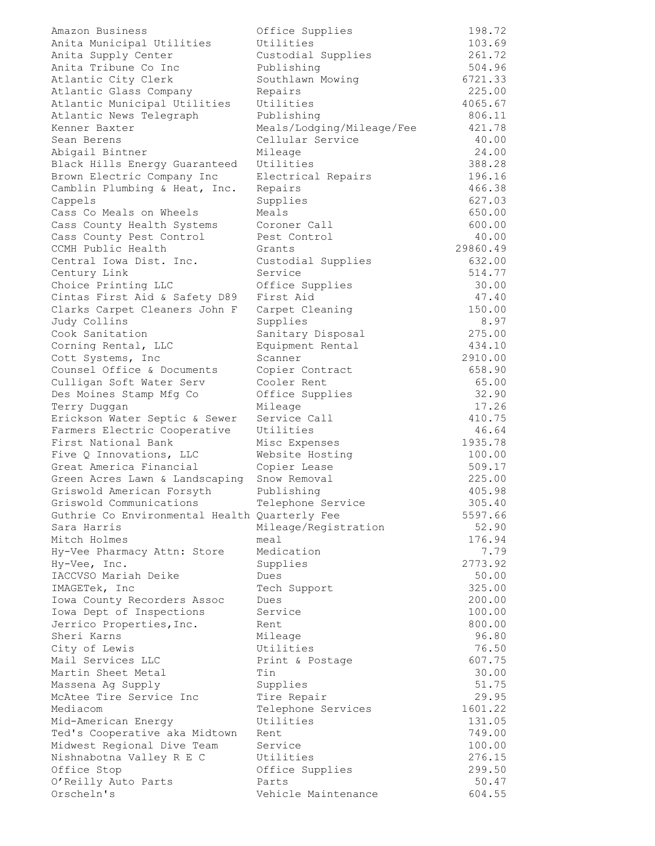| Amazon Business                               | Office Supplies           | 198.72   |
|-----------------------------------------------|---------------------------|----------|
| Anita Municipal Utilities                     | Utilities                 | 103.69   |
| Anita Supply Center                           | Custodial Supplies        | 261.72   |
| Anita Tribune Co Inc                          | Publishing                | 504.96   |
| Atlantic City Clerk                           | Southlawn Mowing          | 6721.33  |
| Atlantic Glass Company                        | Repairs                   | 225.00   |
| Atlantic Municipal Utilities                  | Utilities                 | 4065.67  |
| Atlantic News Telegraph                       | Publishing                | 806.11   |
| Kenner Baxter                                 | Meals/Lodging/Mileage/Fee | 421.78   |
| Sean Berens                                   | Cellular Service          | 40.00    |
|                                               | Mileage                   | 24.00    |
| Abigail Bintner                               | Utilities                 |          |
| Black Hills Energy Guaranteed                 |                           | 388.28   |
| Brown Electric Company Inc                    | Electrical Repairs        | 196.16   |
| Camblin Plumbing & Heat, Inc.                 | Repairs                   | 466.38   |
| Cappels                                       | Supplies                  | 627.03   |
| Cass Co Meals on Wheels                       | Meals                     | 650.00   |
| Cass County Health Systems                    | Coroner Call              | 600.00   |
| Cass County Pest Control                      | Pest Control              | 40.00    |
| CCMH Public Health                            | Grants                    | 29860.49 |
| Central Iowa Dist. Inc.                       | Custodial Supplies        | 632.00   |
| Century Link                                  | Service                   | 514.77   |
| Choice Printing LLC                           | Office Supplies           | 30.00    |
| Cintas First Aid & Safety D89                 | First Aid                 | 47.40    |
| Clarks Carpet Cleaners John F                 | Carpet Cleaning           | 150.00   |
| Judy Collins                                  | Supplies                  | 8.97     |
| Cook Sanitation                               | Sanitary Disposal         | 275.00   |
|                                               | Equipment Rental          | 434.10   |
| Corning Rental, LLC                           |                           |          |
| Cott Systems, Inc                             | Scanner                   | 2910.00  |
| Counsel Office & Documents                    | Copier Contract           | 658.90   |
| Culligan Soft Water Serv                      | Cooler Rent               | 65.00    |
| Des Moines Stamp Mfg Co                       | Office Supplies           | 32.90    |
| Terry Duggan                                  | Mileage                   | 17.26    |
| Erickson Water Septic & Sewer                 | Service Call              | 410.75   |
| Farmers Electric Cooperative                  | Utilities                 | 46.64    |
| First National Bank                           | Misc Expenses             | 1935.78  |
| Five Q Innovations, LLC                       | Website Hosting           | 100.00   |
| Great America Financial                       | Copier Lease              | 509.17   |
| Green Acres Lawn & Landscaping                | Snow Removal              | 225.00   |
| Griswold American Forsyth                     | Publishing                | 405.98   |
| Griswold Communications                       | Telephone Service         | 305.40   |
| Guthrie Co Environmental Health Quarterly Fee |                           | 5597.66  |
| Sara Harris                                   | Mileage/Registration      | 52.90    |
| Mitch Holmes                                  | meal                      | 176.94   |
|                                               |                           |          |
| Hy-Vee Pharmacy Attn: Store                   | Medication                | 7.79     |
| Hy-Vee, Inc.                                  | Supplies                  | 2773.92  |
| IACCVSO Mariah Deike                          | Dues                      | 50.00    |
| IMAGETek, Inc                                 | Tech Support              | 325.00   |
| Iowa County Recorders Assoc                   | Dues                      | 200.00   |
| Iowa Dept of Inspections                      | Service                   | 100.00   |
| Jerrico Properties, Inc.                      | Rent                      | 800.00   |
| Sheri Karns                                   | Mileage                   | 96.80    |
| City of Lewis                                 | Utilities                 | 76.50    |
| Mail Services LLC                             | Print & Postage           | 607.75   |
| Martin Sheet Metal                            | Tin                       | 30.00    |
| Massena Ag Supply                             | Supplies                  | 51.75    |
| McAtee Tire Service Inc                       | Tire Repair               | 29.95    |
| Mediacom                                      | Telephone Services        | 1601.22  |
|                                               |                           |          |
| Mid-American Energy                           | Utilities                 | 131.05   |
| Ted's Cooperative aka Midtown                 | Rent                      | 749.00   |
| Midwest Regional Dive Team                    | Service                   | 100.00   |
| Nishnabotna Valley R E C                      | Utilities                 | 276.15   |
| Office Stop                                   | Office Supplies           | 299.50   |
| O'Reilly Auto Parts                           | Parts                     | 50.47    |
| Orscheln's                                    | Vehicle Maintenance       | 604.55   |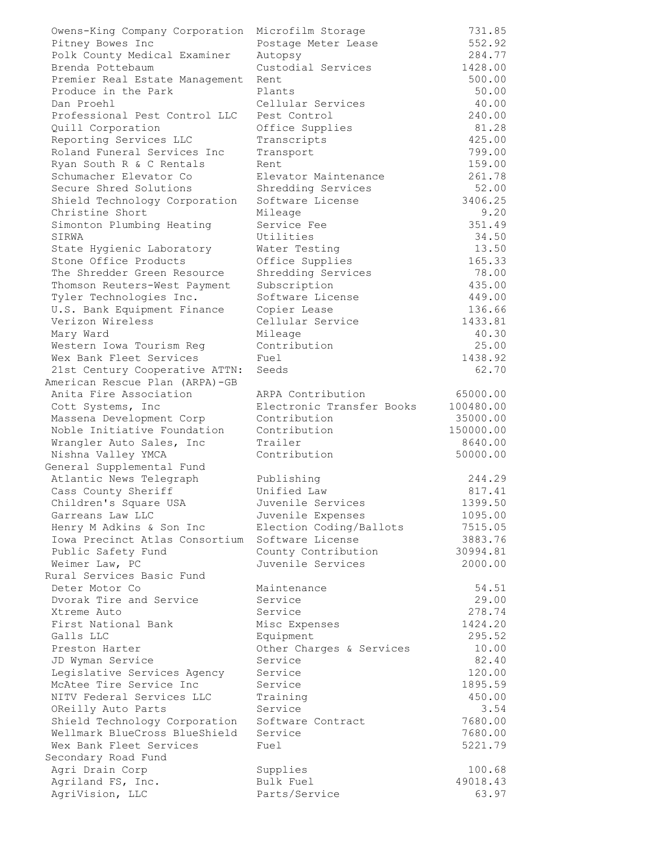| Owens-King Company Corporation                         | Microfilm Storage            | 731.85            |
|--------------------------------------------------------|------------------------------|-------------------|
| Pitney Bowes Inc                                       | Postage Meter Lease          | 552.92            |
| Polk County Medical Examiner                           | Autopsy                      | 284.77            |
| Brenda Pottebaum                                       | Custodial Services           | 1428.00           |
| Premier Real Estate Management                         | Rent                         | 500.00            |
| Produce in the Park                                    | Plants                       | 50.00             |
| Dan Proehl                                             | Cellular Services            | 40.00             |
| Professional Pest Control LLC                          | Pest Control                 | 240.00            |
| Quill Corporation                                      | Office Supplies              | 81.28             |
| Reporting Services LLC                                 | Transcripts                  | 425.00            |
| Roland Funeral Services Inc                            | Transport                    | 799.00            |
| Ryan South R & C Rentals                               | Rent                         | 159.00            |
| Schumacher Elevator Co                                 | Elevator Maintenance         | 261.78            |
| Secure Shred Solutions                                 | Shredding Services           | 52.00             |
| Shield Technology Corporation                          | Software License             | 3406.25           |
| Christine Short                                        | Mileage                      | 9.20              |
| Simonton Plumbing Heating                              | Service Fee                  | 351.49            |
| SIRWA                                                  | Utilities                    | 34.50             |
| State Hygienic Laboratory                              | Water Testing                | 13.50             |
| Stone Office Products                                  | Office Supplies              | 165.33            |
| The Shredder Green Resource                            | Shredding Services           | 78.00             |
| Thomson Reuters-West Payment                           | Subscription                 | 435.00            |
| Tyler Technologies Inc.                                | Software License             | 449.00            |
| U.S. Bank Equipment Finance                            | Copier Lease                 | 136.66            |
| Verizon Wireless                                       | Cellular Service             | 1433.81           |
| Mary Ward                                              | Mileage                      | 40.30             |
| Western Iowa Tourism Reg                               | Contribution                 | 25.00             |
| Wex Bank Fleet Services                                | Fuel                         | 1438.92           |
| 21st Century Cooperative ATTN:                         | Seeds                        | 62.70             |
| American Rescue Plan (ARPA)-GB                         |                              |                   |
| Anita Fire Association                                 | ARPA Contribution            | 65000.00          |
| Cott Systems, Inc                                      | Electronic Transfer Books    | 100480.00         |
| Massena Development Corp                               | Contribution                 | 35000.00          |
| Noble Initiative Foundation                            | Contribution                 | 150000.00         |
| Wrangler Auto Sales, Inc                               | Trailer                      | 8640.00           |
| Nishna Valley YMCA                                     | Contribution                 | 50000.00          |
| General Supplemental Fund                              |                              |                   |
| Atlantic News Telegraph                                | Publishing                   | 244.29            |
| Cass County Sheriff                                    | Unified Law                  | 817.41            |
| Children's Square USA                                  | Juvenile Services            | 1399.50           |
| Garreans Law LLC                                       | Juvenile Expenses            | 1095.00           |
| Henry M Adkins & Son Inc                               | Election Coding/Ballots      | 7515.05           |
| Iowa Precinct Atlas Consortium                         | Software License             | 3883.76           |
| Public Safety Fund                                     | County Contribution          | 30994.81          |
| Weimer Law, PC                                         | Juvenile Services            | 2000.00           |
| Rural Services Basic Fund                              |                              |                   |
| Deter Motor Co                                         | Maintenance                  | 54.51             |
| Dvorak Tire and Service                                | Service                      | 29.00             |
| Xtreme Auto<br>First National Bank                     | Service                      | 278.74            |
| Galls LLC                                              | Misc Expenses                | 1424.20           |
|                                                        | Equipment                    | 295.52            |
| Preston Harter                                         | Other Charges & Services     | 10.00             |
| JD Wyman Service                                       | Service                      | 82.40             |
| Legislative Services Agency<br>McAtee Tire Service Inc | Service<br>Service           | 120.00<br>1895.59 |
| NITV Federal Services LLC                              |                              |                   |
|                                                        | Training                     | 450.00            |
| OReilly Auto Parts                                     | Service<br>Software Contract | 3.54<br>7680.00   |
| Shield Technology Corporation                          |                              |                   |
| Wellmark BlueCross BlueShield                          | Service                      | 7680.00           |
| Wex Bank Fleet Services                                | Fuel                         | 5221.79           |
| Secondary Road Fund                                    |                              |                   |
| Agri Drain Corp                                        | Supplies<br>Bulk Fuel        | 100.68            |
| Agriland FS, Inc.                                      |                              | 49018.43          |
| AgriVision, LLC                                        | Parts/Service                | 63.97             |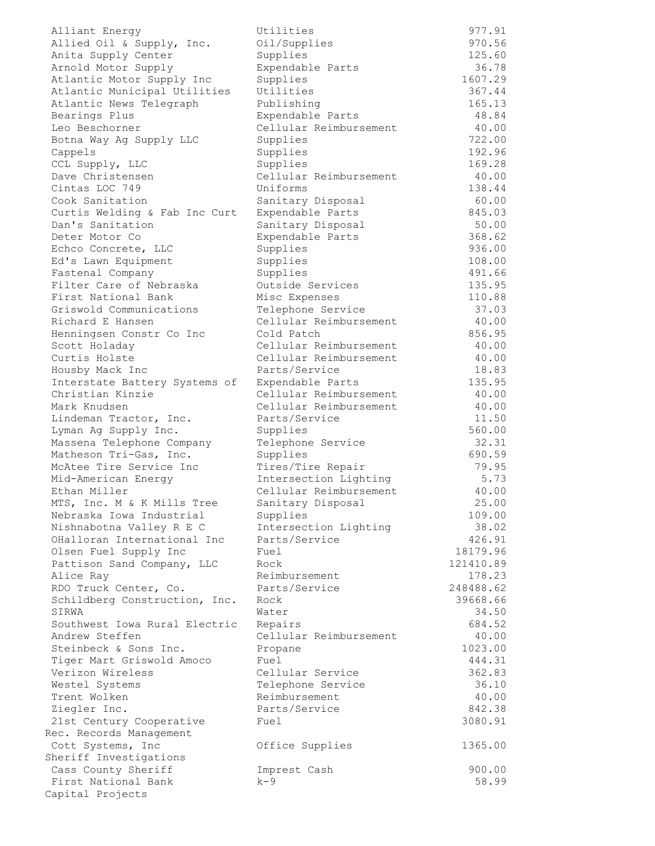Alliant Energy Utilities 977.91 Allied Oil & Supply, Inc. Oil/Supplies 970.56 Anita Supply Center Supplies 125.60 Arnold Motor Supply Expendable Parts 36.78 Atlantic Motor Supply Inc Supplies 1607.29 Atlantic Municipal Utilities Utilities 367.44 Atlantic News Telegraph Publishing Publishing 265.13 Bearings Plus Expendable Parts 48.84 Leo Beschorner Cellular Reimbursement 40.00 Botna Way Ag Supply LLC Supplies 722.00 Cappels Supplies 192.96 CCL Supply, LLC Supplies 169.28 Dave Christensen Cellular Reimbursement 40.00 Cintas LOC 749 Uniforms 138.44 Cook Sanitation Sanitary Disposal 60.00 Curtis Welding & Fab Inc Curt Expendable Parts 645.03 Dan's Sanitation Sanitary Disposal 50.00 Deter Motor Co Expendable Parts 368.62 Echco Concrete, LLC Supplies 936.00 Ed's Lawn Equipment Supplies 108.00 Fastenal Company Supplies 491.66 Filter Care of Nebraska Outside Services 135.95 First National Bank Misc Expenses 110.88 Griswold Communications Telephone Service 37.03 Richard E Hansen Cellular Reimbursement 40.00 Henningsen Constr Co Inc Cold Patch 856.95 Scott Holaday Cellular Reimbursement 40.00 Curtis Holste Cellular Reimbursement 40.00 Housby Mack Inc Parts/Service 18.83 Interstate Battery Systems of Expendable Parts 135.95 Christian Kinzie Cellular Reimbursement 40.00 Mark Knudsen Cellular Reimbursement 40.00 Lindeman Tractor, Inc. Parts/Service 11.50 Lyman Ag Supply Inc. Supplies 560.00 Massena Telephone Company Telephone Service 32.31 Matheson Tri-Gas, Inc. Supplies 690.59 McAtee Tire Service Inc Tires/Tire Repair 79.95 Mid-American Energy Intersection Lighting 5.73 Ethan Miller Cellular Reimbursement 40.00 MTS, Inc. M & K Mills Tree Sanitary Disposal 25.00 Nebraska Iowa Industrial Supplies 109.00 Nishnabotna Valley R E C Intersection Lighting 38.02 OHalloran International Inc Parts/Service 426.91 Olsen Fuel Supply Inc Fuel 18179.96 Pattison Sand Company, LLC Rock 121410.89 Alice Ray Reimbursement 178.23 RDO Truck Center, Co. Parts/Service 248488.62 Schildberg Construction, Inc. Rock 39668.66 SIRWA 34.50 Southwest Iowa Rural Electric Repairs 684.52 Andrew Steffen Cellular Reimbursement 40.00 Steinbeck & Sons Inc. Propane 1023.00 Tiger Mart Griswold Amoco Fuel 444.31 Verizon Wireless Cellular Service 362.83 Westel Systems Telephone Service 36.10 Trent Wolken Reimbursement 40.00 Ziegler Inc. Parts/Service 842.38 21st Century Cooperative Fuel 3080.91 Rec. Records Management Cott Systems, Inc Office Supplies 1365.00 Sheriff Investigations Cass County Sheriff Imprest Cash 900.00 First National Bank k-9 58.99 Capital Projects